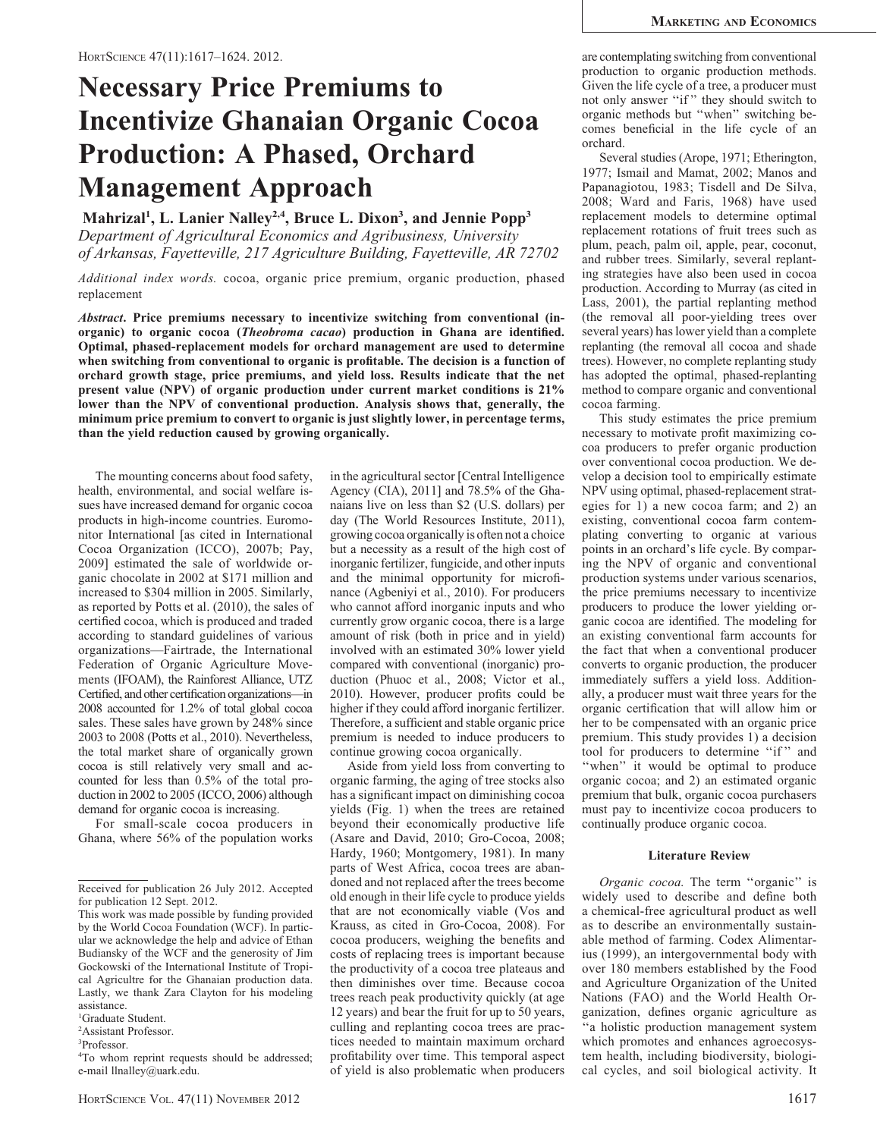# Necessary Price Premiums to Incentivize Ghanaian Organic Cocoa Production: A Phased, Orchard Management Approach

Mahrizal<sup>1</sup>, L. Lanier Nalley<sup>2,4</sup>, Bruce L. Dixon<sup>3</sup>, and Jennie Popp<sup>3</sup> Department of Agricultural Economics and Agribusiness, University of Arkansas, Fayetteville, 217 Agriculture Building, Fayetteville, AR 72702

Additional index words. cocoa, organic price premium, organic production, phased replacement

Abstract. Price premiums necessary to incentivize switching from conventional (inorganic) to organic cocoa (Theobroma cacao) production in Ghana are identified. Optimal, phased-replacement models for orchard management are used to determine when switching from conventional to organic is profitable. The decision is a function of orchard growth stage, price premiums, and yield loss. Results indicate that the net present value (NPV) of organic production under current market conditions is 21% lower than the NPV of conventional production. Analysis shows that, generally, the minimum price premium to convert to organic is just slightly lower, in percentage terms, than the yield reduction caused by growing organically.

The mounting concerns about food safety, health, environmental, and social welfare issues have increased demand for organic cocoa products in high-income countries. Euromonitor International [as cited in International Cocoa Organization (ICCO), 2007b; Pay, 2009] estimated the sale of worldwide organic chocolate in 2002 at \$171 million and increased to \$304 million in 2005. Similarly, as reported by Potts et al. (2010), the sales of certified cocoa, which is produced and traded according to standard guidelines of various organizations—Fairtrade, the International Federation of Organic Agriculture Movements (IFOAM), the Rainforest Alliance, UTZ Certified, and other certification organizations—in 2008 accounted for 1.2% of total global cocoa sales. These sales have grown by 248% since 2003 to 2008 (Potts et al., 2010). Nevertheless, the total market share of organically grown cocoa is still relatively very small and accounted for less than 0.5% of the total production in 2002 to 2005 (ICCO, 2006) although demand for organic cocoa is increasing.

For small-scale cocoa producers in Ghana, where 56% of the population works

1 Graduate Student.

2 Assistant Professor.

in the agricultural sector [Central Intelligence Agency (CIA), 2011] and 78.5% of the Ghanaians live on less than \$2 (U.S. dollars) per day (The World Resources Institute, 2011), growing cocoa organically is often not a choice but a necessity as a result of the high cost of inorganic fertilizer, fungicide, and other inputs and the minimal opportunity for microfinance (Agbeniyi et al., 2010). For producers who cannot afford inorganic inputs and who currently grow organic cocoa, there is a large amount of risk (both in price and in yield) involved with an estimated 30% lower yield compared with conventional (inorganic) production (Phuoc et al., 2008; Victor et al., 2010). However, producer profits could be higher if they could afford inorganic fertilizer. Therefore, a sufficient and stable organic price premium is needed to induce producers to continue growing cocoa organically.

Aside from yield loss from converting to organic farming, the aging of tree stocks also has a significant impact on diminishing cocoa yields (Fig. 1) when the trees are retained beyond their economically productive life (Asare and David, 2010; Gro-Cocoa, 2008; Hardy, 1960; Montgomery, 1981). In many parts of West Africa, cocoa trees are abandoned and not replaced after the trees become old enough in their life cycle to produce yields that are not economically viable (Vos and Krauss, as cited in Gro-Cocoa, 2008). For cocoa producers, weighing the benefits and costs of replacing trees is important because the productivity of a cocoa tree plateaus and then diminishes over time. Because cocoa trees reach peak productivity quickly (at age 12 years) and bear the fruit for up to 50 years, culling and replanting cocoa trees are practices needed to maintain maximum orchard profitability over time. This temporal aspect of yield is also problematic when producers are contemplating switching from conventional production to organic production methods. Given the life cycle of a tree, a producer must not only answer "if" they should switch to organic methods but ''when'' switching becomes beneficial in the life cycle of an orchard.

Several studies (Arope, 1971; Etherington, 1977; Ismail and Mamat, 2002; Manos and Papanagiotou, 1983; Tisdell and De Silva, 2008; Ward and Faris, 1968) have used replacement models to determine optimal replacement rotations of fruit trees such as plum, peach, palm oil, apple, pear, coconut, and rubber trees. Similarly, several replanting strategies have also been used in cocoa production. According to Murray (as cited in Lass, 2001), the partial replanting method (the removal all poor-yielding trees over several years) has lower yield than a complete replanting (the removal all cocoa and shade trees). However, no complete replanting study has adopted the optimal, phased-replanting method to compare organic and conventional cocoa farming.

This study estimates the price premium necessary to motivate profit maximizing cocoa producers to prefer organic production over conventional cocoa production. We develop a decision tool to empirically estimate NPV using optimal, phased-replacement strategies for 1) a new cocoa farm; and 2) an existing, conventional cocoa farm contemplating converting to organic at various points in an orchard's life cycle. By comparing the NPV of organic and conventional production systems under various scenarios, the price premiums necessary to incentivize producers to produce the lower yielding organic cocoa are identified. The modeling for an existing conventional farm accounts for the fact that when a conventional producer converts to organic production, the producer immediately suffers a yield loss. Additionally, a producer must wait three years for the organic certification that will allow him or her to be compensated with an organic price premium. This study provides 1) a decision tool for producers to determine "if" and "when" it would be optimal to produce organic cocoa; and 2) an estimated organic premium that bulk, organic cocoa purchasers must pay to incentivize cocoa producers to continually produce organic cocoa.

#### Literature Review

Organic cocoa. The term ''organic'' is widely used to describe and define both a chemical-free agricultural product as well as to describe an environmentally sustainable method of farming. Codex Alimentarius (1999), an intergovernmental body with over 180 members established by the Food and Agriculture Organization of the United Nations (FAO) and the World Health Organization, defines organic agriculture as ''a holistic production management system which promotes and enhances agroecosystem health, including biodiversity, biological cycles, and soil biological activity. It

Received for publication 26 July 2012. Accepted for publication 12 Sept. 2012.

This work was made possible by funding provided by the World Cocoa Foundation (WCF). In particular we acknowledge the help and advice of Ethan Budiansky of the WCF and the generosity of Jim Gockowski of the International Institute of Tropical Agricultre for the Ghanaian production data. Lastly, we thank Zara Clayton for his modeling assistance.

<sup>3</sup> Professor.

<sup>4</sup> To whom reprint requests should be addressed; e-mail llnalley@uark.edu.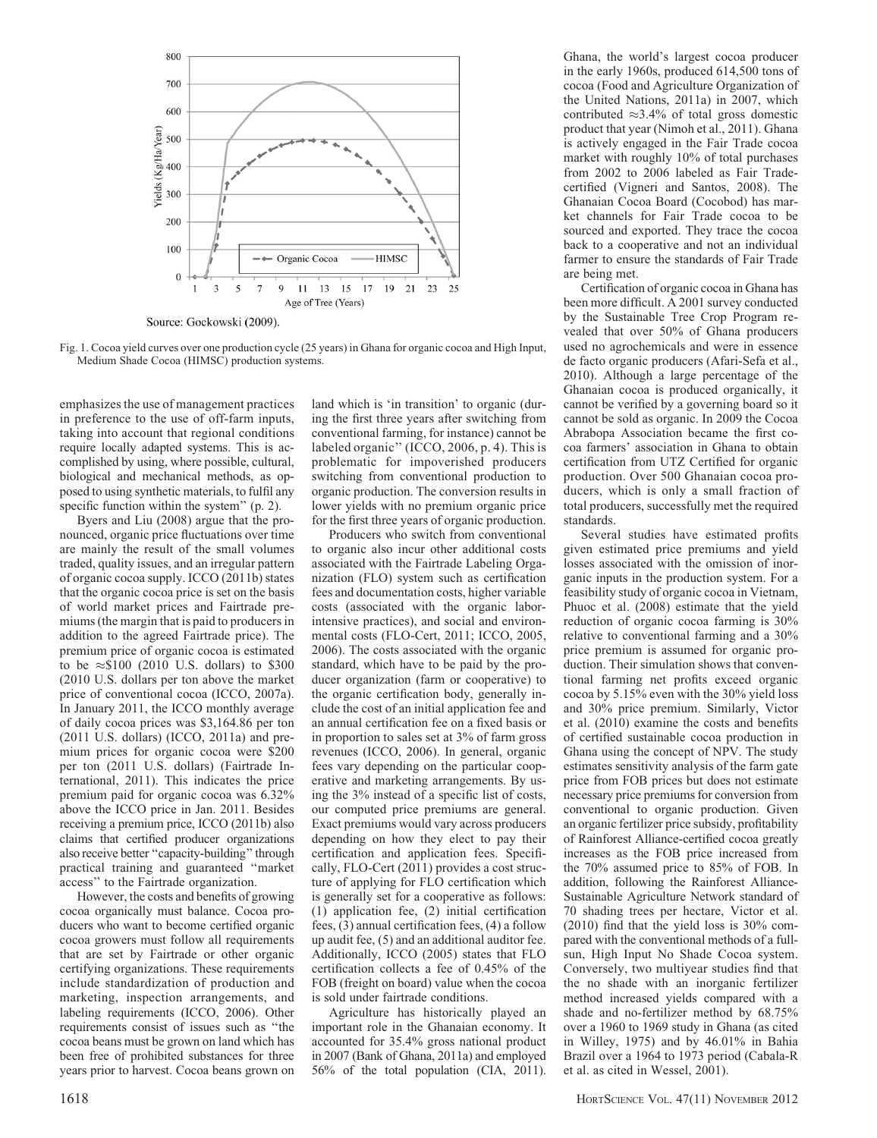

Fig. 1. Cocoa yield curves over one production cycle (25 years) in Ghana for organic cocoa and High Input, Medium Shade Cocoa (HIMSC) production systems.

emphasizes the use of management practices in preference to the use of off-farm inputs, taking into account that regional conditions require locally adapted systems. This is accomplished by using, where possible, cultural, biological and mechanical methods, as opposed to using synthetic materials, to fulfil any specific function within the system" (p. 2).

Byers and Liu (2008) argue that the pronounced, organic price fluctuations over time are mainly the result of the small volumes traded, quality issues, and an irregular pattern of organic cocoa supply. ICCO (2011b) states that the organic cocoa price is set on the basis of world market prices and Fairtrade premiums (the margin that is paid to producers in addition to the agreed Fairtrade price). The premium price of organic cocoa is estimated to be  $\approx$ \$100 (2010 U.S. dollars) to \$300 (2010 U.S. dollars per ton above the market price of conventional cocoa (ICCO, 2007a). In January 2011, the ICCO monthly average of daily cocoa prices was \$3,164.86 per ton (2011 U.S. dollars) (ICCO, 2011a) and premium prices for organic cocoa were \$200 per ton (2011 U.S. dollars) (Fairtrade International, 2011). This indicates the price premium paid for organic cocoa was 6.32% above the ICCO price in Jan. 2011. Besides receiving a premium price, ICCO (2011b) also claims that certified producer organizations also receive better ''capacity-building'' through practical training and guaranteed ''market access'' to the Fairtrade organization.

However, the costs and benefits of growing cocoa organically must balance. Cocoa producers who want to become certified organic cocoa growers must follow all requirements that are set by Fairtrade or other organic certifying organizations. These requirements include standardization of production and marketing, inspection arrangements, and labeling requirements (ICCO, 2006). Other requirements consist of issues such as ''the cocoa beans must be grown on land which has been free of prohibited substances for three years prior to harvest. Cocoa beans grown on land which is 'in transition' to organic (during the first three years after switching from conventional farming, for instance) cannot be labeled organic'' (ICCO, 2006, p. 4). This is problematic for impoverished producers switching from conventional production to organic production. The conversion results in lower yields with no premium organic price for the first three years of organic production.

Producers who switch from conventional to organic also incur other additional costs associated with the Fairtrade Labeling Organization (FLO) system such as certification fees and documentation costs, higher variable costs (associated with the organic laborintensive practices), and social and environmental costs (FLO-Cert, 2011; ICCO, 2005, 2006). The costs associated with the organic standard, which have to be paid by the producer organization (farm or cooperative) to the organic certification body, generally include the cost of an initial application fee and an annual certification fee on a fixed basis or in proportion to sales set at 3% of farm gross revenues (ICCO, 2006). In general, organic fees vary depending on the particular cooperative and marketing arrangements. By using the 3% instead of a specific list of costs, our computed price premiums are general. Exact premiums would vary across producers depending on how they elect to pay their certification and application fees. Specifically, FLO-Cert (2011) provides a cost structure of applying for FLO certification which is generally set for a cooperative as follows: (1) application fee, (2) initial certification fees, (3) annual certification fees, (4) a follow up audit fee, (5) and an additional auditor fee. Additionally, ICCO (2005) states that FLO certification collects a fee of 0.45% of the FOB (freight on board) value when the cocoa is sold under fairtrade conditions.

Agriculture has historically played an important role in the Ghanaian economy. It accounted for 35.4% gross national product in 2007 (Bank of Ghana, 2011a) and employed 56% of the total population (CIA, 2011). Ghana, the world's largest cocoa producer in the early 1960s, produced 614,500 tons of cocoa (Food and Agriculture Organization of the United Nations, 2011a) in 2007, which contributed  $\approx$ 3.4% of total gross domestic product that year (Nimoh et al., 2011). Ghana is actively engaged in the Fair Trade cocoa market with roughly 10% of total purchases from 2002 to 2006 labeled as Fair Tradecertified (Vigneri and Santos, 2008). The Ghanaian Cocoa Board (Cocobod) has market channels for Fair Trade cocoa to be sourced and exported. They trace the cocoa back to a cooperative and not an individual farmer to ensure the standards of Fair Trade are being met.

Certification of organic cocoa in Ghana has been more difficult. A 2001 survey conducted by the Sustainable Tree Crop Program revealed that over 50% of Ghana producers used no agrochemicals and were in essence de facto organic producers (Afari-Sefa et al., 2010). Although a large percentage of the Ghanaian cocoa is produced organically, it cannot be verified by a governing board so it cannot be sold as organic. In 2009 the Cocoa Abrabopa Association became the first cocoa farmers' association in Ghana to obtain certification from UTZ Certified for organic production. Over 500 Ghanaian cocoa producers, which is only a small fraction of total producers, successfully met the required standards.

Several studies have estimated profits given estimated price premiums and yield losses associated with the omission of inorganic inputs in the production system. For a feasibility study of organic cocoa in Vietnam, Phuoc et al. (2008) estimate that the yield reduction of organic cocoa farming is 30% relative to conventional farming and a 30% price premium is assumed for organic production. Their simulation shows that conventional farming net profits exceed organic cocoa by 5.15% even with the 30% yield loss and 30% price premium. Similarly, Victor et al. (2010) examine the costs and benefits of certified sustainable cocoa production in Ghana using the concept of NPV. The study estimates sensitivity analysis of the farm gate price from FOB prices but does not estimate necessary price premiums for conversion from conventional to organic production. Given an organic fertilizer price subsidy, profitability of Rainforest Alliance-certified cocoa greatly increases as the FOB price increased from the 70% assumed price to 85% of FOB. In addition, following the Rainforest Alliance-Sustainable Agriculture Network standard of 70 shading trees per hectare, Victor et al. (2010) find that the yield loss is 30% compared with the conventional methods of a fullsun, High Input No Shade Cocoa system. Conversely, two multiyear studies find that the no shade with an inorganic fertilizer method increased yields compared with a shade and no-fertilizer method by 68.75% over a 1960 to 1969 study in Ghana (as cited in Willey, 1975) and by 46.01% in Bahia Brazil over a 1964 to 1973 period (Cabala-R et al. as cited in Wessel, 2001).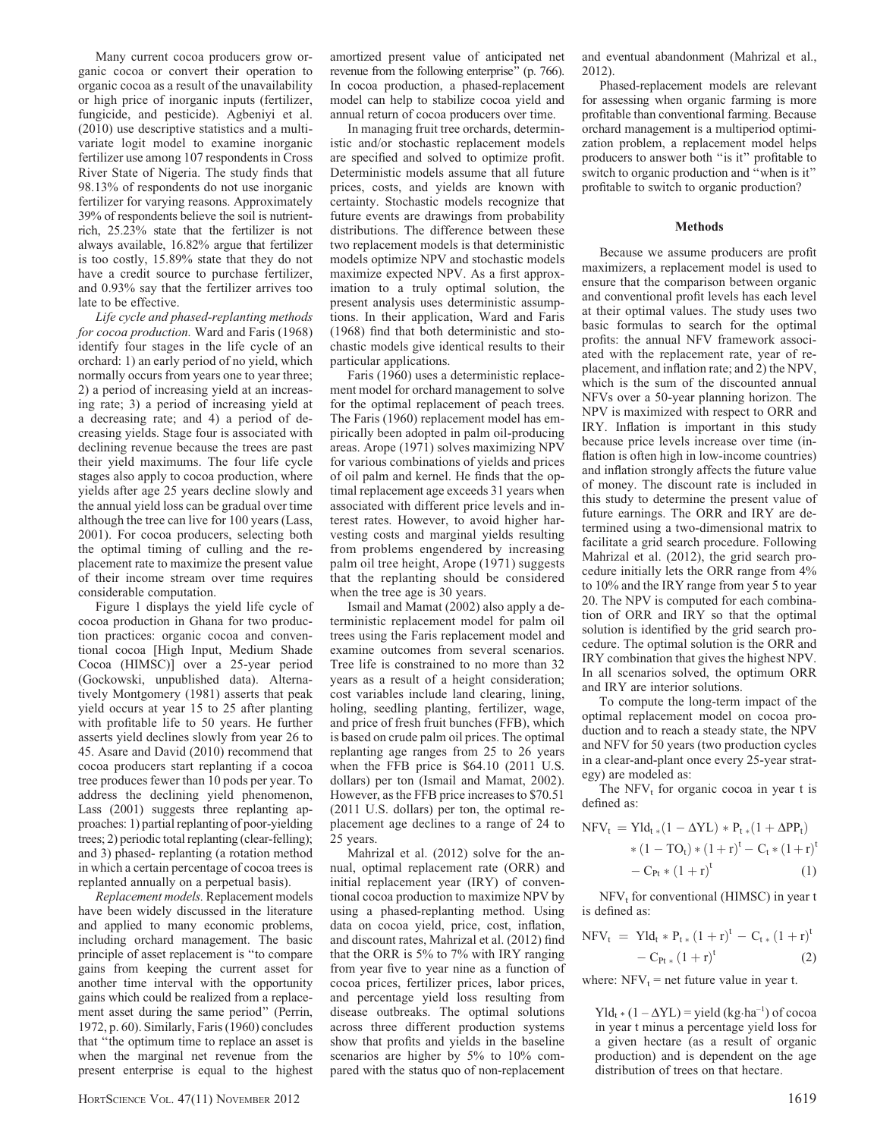Many current cocoa producers grow organic cocoa or convert their operation to organic cocoa as a result of the unavailability or high price of inorganic inputs (fertilizer, fungicide, and pesticide). Agbeniyi et al. (2010) use descriptive statistics and a multivariate logit model to examine inorganic fertilizer use among 107 respondents in Cross River State of Nigeria. The study finds that 98.13% of respondents do not use inorganic fertilizer for varying reasons. Approximately 39% of respondents believe the soil is nutrientrich, 25.23% state that the fertilizer is not always available, 16.82% argue that fertilizer is too costly, 15.89% state that they do not have a credit source to purchase fertilizer, and 0.93% say that the fertilizer arrives too late to be effective.

Life cycle and phased-replanting methods for cocoa production. Ward and Faris (1968) identify four stages in the life cycle of an orchard: 1) an early period of no yield, which normally occurs from years one to year three; 2) a period of increasing yield at an increasing rate; 3) a period of increasing yield at a decreasing rate; and 4) a period of decreasing yields. Stage four is associated with declining revenue because the trees are past their yield maximums. The four life cycle stages also apply to cocoa production, where yields after age 25 years decline slowly and the annual yield loss can be gradual over time although the tree can live for 100 years (Lass, 2001). For cocoa producers, selecting both the optimal timing of culling and the replacement rate to maximize the present value of their income stream over time requires considerable computation.

Figure 1 displays the yield life cycle of cocoa production in Ghana for two production practices: organic cocoa and conventional cocoa [High Input, Medium Shade Cocoa (HIMSC)] over a 25-year period (Gockowski, unpublished data). Alternatively Montgomery (1981) asserts that peak yield occurs at year 15 to 25 after planting with profitable life to 50 years. He further asserts yield declines slowly from year 26 to 45. Asare and David (2010) recommend that cocoa producers start replanting if a cocoa tree produces fewer than 10 pods per year. To address the declining yield phenomenon, Lass (2001) suggests three replanting approaches: 1) partial replanting of poor-yielding trees; 2) periodic total replanting (clear-felling); and 3) phased- replanting (a rotation method in which a certain percentage of cocoa trees is replanted annually on a perpetual basis).

Replacement models. Replacement models have been widely discussed in the literature and applied to many economic problems, including orchard management. The basic principle of asset replacement is ''to compare gains from keeping the current asset for another time interval with the opportunity gains which could be realized from a replacement asset during the same period'' (Perrin, 1972, p. 60). Similarly, Faris (1960) concludes that ''the optimum time to replace an asset is when the marginal net revenue from the present enterprise is equal to the highest amortized present value of anticipated net revenue from the following enterprise'' (p. 766). In cocoa production, a phased-replacement model can help to stabilize cocoa yield and annual return of cocoa producers over time.

In managing fruit tree orchards, deterministic and/or stochastic replacement models are specified and solved to optimize profit. Deterministic models assume that all future prices, costs, and yields are known with certainty. Stochastic models recognize that future events are drawings from probability distributions. The difference between these two replacement models is that deterministic models optimize NPV and stochastic models maximize expected NPV. As a first approximation to a truly optimal solution, the present analysis uses deterministic assumptions. In their application, Ward and Faris (1968) find that both deterministic and stochastic models give identical results to their particular applications.

Faris (1960) uses a deterministic replacement model for orchard management to solve for the optimal replacement of peach trees. The Faris (1960) replacement model has empirically been adopted in palm oil-producing areas. Arope (1971) solves maximizing NPV for various combinations of yields and prices of oil palm and kernel. He finds that the optimal replacement age exceeds 31 years when associated with different price levels and interest rates. However, to avoid higher harvesting costs and marginal yields resulting from problems engendered by increasing palm oil tree height, Arope (1971) suggests that the replanting should be considered when the tree age is 30 years.

Ismail and Mamat (2002) also apply a deterministic replacement model for palm oil trees using the Faris replacement model and examine outcomes from several scenarios. Tree life is constrained to no more than 32 years as a result of a height consideration; cost variables include land clearing, lining, holing, seedling planting, fertilizer, wage, and price of fresh fruit bunches (FFB), which is based on crude palm oil prices. The optimal replanting age ranges from 25 to 26 years when the FFB price is \$64.10 (2011 U.S. dollars) per ton (Ismail and Mamat, 2002). However, as the FFB price increases to \$70.51 (2011 U.S. dollars) per ton, the optimal replacement age declines to a range of 24 to 25 years.

Mahrizal et al. (2012) solve for the annual, optimal replacement rate (ORR) and initial replacement year (IRY) of conventional cocoa production to maximize NPV by using a phased-replanting method. Using data on cocoa yield, price, cost, inflation, and discount rates, Mahrizal et al. (2012) find that the ORR is 5% to 7% with IRY ranging from year five to year nine as a function of cocoa prices, fertilizer prices, labor prices, and percentage yield loss resulting from disease outbreaks. The optimal solutions across three different production systems show that profits and yields in the baseline scenarios are higher by 5% to 10% compared with the status quo of non-replacement

and eventual abandonment (Mahrizal et al., 2012).

Phased-replacement models are relevant for assessing when organic farming is more profitable than conventional farming. Because orchard management is a multiperiod optimization problem, a replacement model helps producers to answer both ''is it'' profitable to switch to organic production and ''when is it'' profitable to switch to organic production?

#### Methods

Because we assume producers are profit maximizers, a replacement model is used to ensure that the comparison between organic and conventional profit levels has each level at their optimal values. The study uses two basic formulas to search for the optimal profits: the annual NFV framework associated with the replacement rate, year of replacement, and inflation rate; and 2) the NPV, which is the sum of the discounted annual NFVs over a 50-year planning horizon. The NPV is maximized with respect to ORR and IRY. Inflation is important in this study because price levels increase over time (inflation is often high in low-income countries) and inflation strongly affects the future value of money. The discount rate is included in this study to determine the present value of future earnings. The ORR and IRY are determined using a two-dimensional matrix to facilitate a grid search procedure. Following Mahrizal et al. (2012), the grid search procedure initially lets the ORR range from 4% to 10% and the IRY range from year 5 to year 20. The NPV is computed for each combination of ORR and IRY so that the optimal solution is identified by the grid search procedure. The optimal solution is the ORR and IRY combination that gives the highest NPV. In all scenarios solved, the optimum ORR and IRY are interior solutions.

To compute the long-term impact of the optimal replacement model on cocoa production and to reach a steady state, the NPV and NFV for 50 years (two production cycles in a clear-and-plant once every 25-year strategy) are modeled as:

The  $NFV<sub>t</sub>$  for organic cocoa in year t is defined as:

$$
\begin{aligned} \text{NFV}_t \, & = \text{Yld}_{t\,*}(1-\Delta \text{YL})\ast P_{t\,*}(1+\Delta \text{PP}_t) \\ & \quad \ \ast (1-\text{TO}_t)\ast (1+r)^t - \text{C}_t\ast \left(1+r\right)^t \\ & \quad \ -\text{C}_{\text{Pt}}\ast (1+r)^t \end{aligned} \tag{1}
$$

 $NFV<sub>t</sub>$  for conventional (HIMSC) in year t is defined as:

$$
NFV_{t} = YId_{t} * P_{t*} (1+r)^{t} - C_{t*} (1+r)^{t}
$$

$$
- C_{Pt*} (1+r)^{t}
$$
(2)

where:  $NFV_t$  = net future value in year t.

 $Yld_{t} * (1 - \Delta YL) =$  yield (kg·ha<sup>-1</sup>) of cocoa in year t minus a percentage yield loss for a given hectare (as a result of organic production) and is dependent on the age distribution of trees on that hectare.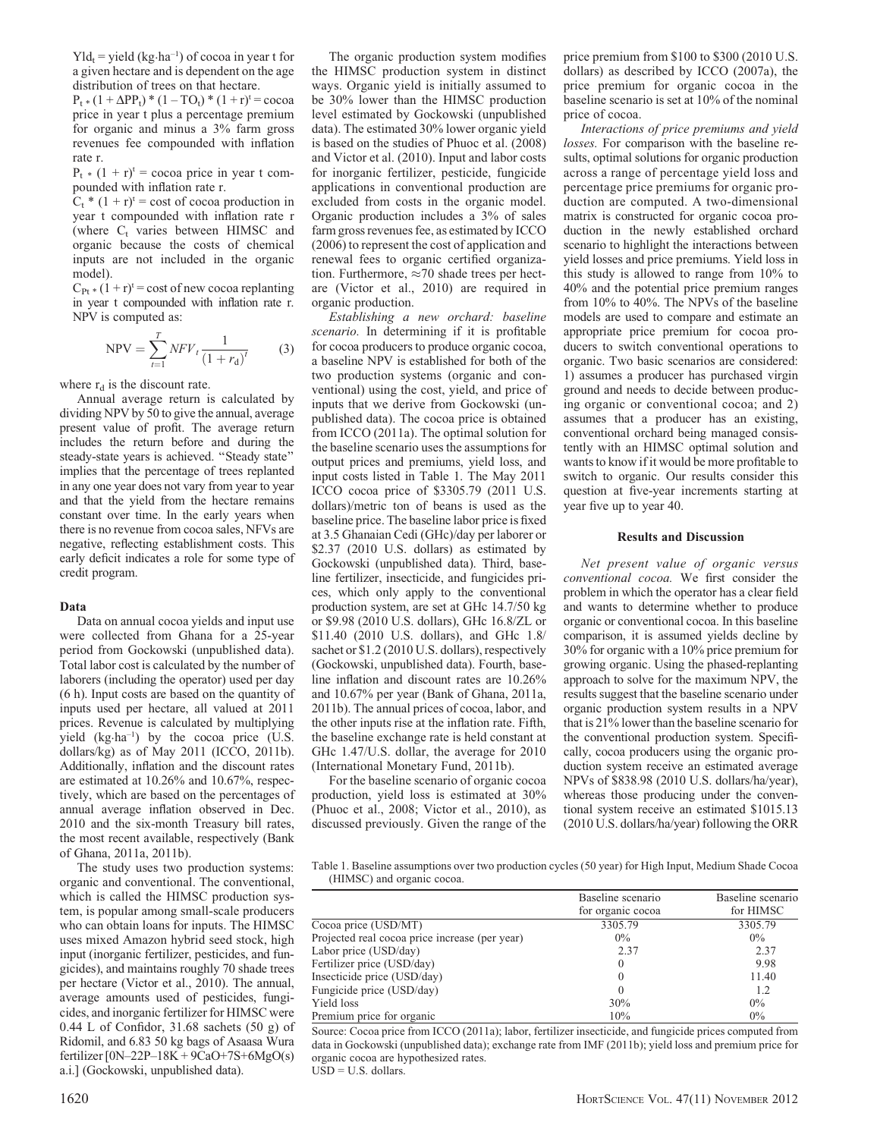$Yld_t =$  yield (kg·ha<sup>-1</sup>) of cocoa in year t for a given hectare and is dependent on the age distribution of trees on that hectare.

 $P_t * (1 + \Delta PP_t) * (1 - TO_t) * (1 + r)^t = \csc \alpha$ price in year t plus a percentage premium for organic and minus a 3% farm gross revenues fee compounded with inflation rate r.

 $P_t * (1 + r)^t$  = cocoa price in year t compounded with inflation rate r.

 $C_t$ <sup>\*</sup> (1 + r)<sup>t</sup> = cost of cocoa production in year t compounded with inflation rate r (where  $C_t$  varies between HIMSC and organic because the costs of chemical inputs are not included in the organic model).

 $C_{Pt}$  \*  $(1 + r)^t$  = cost of new cocoa replanting in year t compounded with inflation rate r. NPV is computed as:

$$
NPV = \sum_{t=1}^{T} NF V_t \frac{1}{(1+r_d)^t}
$$
 (3)

where  $r_d$  is the discount rate.

Annual average return is calculated by dividing NPV by 50 to give the annual, average present value of profit. The average return includes the return before and during the steady-state years is achieved. ''Steady state'' implies that the percentage of trees replanted in any one year does not vary from year to year and that the yield from the hectare remains constant over time. In the early years when there is no revenue from cocoa sales, NFVs are negative, reflecting establishment costs. This early deficit indicates a role for some type of credit program.

#### Data

Data on annual cocoa yields and input use were collected from Ghana for a 25-year period from Gockowski (unpublished data). Total labor cost is calculated by the number of laborers (including the operator) used per day (6 h). Input costs are based on the quantity of inputs used per hectare, all valued at 2011 prices. Revenue is calculated by multiplying yield (kg·ha–1) by the cocoa price (U.S. dollars/kg) as of May 2011 (ICCO, 2011b). Additionally, inflation and the discount rates are estimated at 10.26% and 10.67%, respectively, which are based on the percentages of annual average inflation observed in Dec. 2010 and the six-month Treasury bill rates, the most recent available, respectively (Bank of Ghana, 2011a, 2011b).

The study uses two production systems: organic and conventional. The conventional, which is called the HIMSC production system, is popular among small-scale producers who can obtain loans for inputs. The HIMSC uses mixed Amazon hybrid seed stock, high input (inorganic fertilizer, pesticides, and fungicides), and maintains roughly 70 shade trees per hectare (Victor et al., 2010). The annual, average amounts used of pesticides, fungicides, and inorganic fertilizer for HIMSC were 0.44 L of Confidor, 31.68 sachets (50 g) of Ridomil, and 6.83 50 kg bags of Asaasa Wura fertilizer  $[0N-22P-18K + 9CaO+7S+6MgO(s)$ a.i.] (Gockowski, unpublished data).

The organic production system modifies the HIMSC production system in distinct ways. Organic yield is initially assumed to be 30% lower than the HIMSC production level estimated by Gockowski (unpublished data). The estimated 30% lower organic yield is based on the studies of Phuoc et al. (2008) and Victor et al. (2010). Input and labor costs for inorganic fertilizer, pesticide, fungicide applications in conventional production are excluded from costs in the organic model. Organic production includes a 3% of sales farm gross revenues fee, as estimated by ICCO (2006) to represent the cost of application and renewal fees to organic certified organization. Furthermore,  $\approx 70$  shade trees per hectare (Victor et al., 2010) are required in organic production.

Establishing a new orchard: baseline scenario. In determining if it is profitable for cocoa producers to produce organic cocoa, a baseline NPV is established for both of the two production systems (organic and conventional) using the cost, yield, and price of inputs that we derive from Gockowski (unpublished data). The cocoa price is obtained from ICCO (2011a). The optimal solution for the baseline scenario uses the assumptions for output prices and premiums, yield loss, and input costs listed in Table 1. The May 2011 ICCO cocoa price of \$3305.79 (2011 U.S. dollars)/metric ton of beans is used as the baseline price. The baseline labor price is fixed at 3.5 Ghanaian Cedi (GHc)/day per laborer or \$2.37 (2010 U.S. dollars) as estimated by Gockowski (unpublished data). Third, baseline fertilizer, insecticide, and fungicides prices, which only apply to the conventional production system, are set at GHc 14.7/50 kg or \$9.98 (2010 U.S. dollars), GHc 16.8/ZL or \$11.40 (2010 U.S. dollars), and GHc 1.8/ sachet or \$1.2 (2010 U.S. dollars), respectively (Gockowski, unpublished data). Fourth, baseline inflation and discount rates are 10.26% and 10.67% per year (Bank of Ghana, 2011a, 2011b). The annual prices of cocoa, labor, and the other inputs rise at the inflation rate. Fifth, the baseline exchange rate is held constant at GHc 1.47/U.S. dollar, the average for 2010 (International Monetary Fund, 2011b).

For the baseline scenario of organic cocoa production, yield loss is estimated at 30% (Phuoc et al., 2008; Victor et al., 2010), as discussed previously. Given the range of the

price premium from \$100 to \$300 (2010 U.S. dollars) as described by ICCO (2007a), the price premium for organic cocoa in the baseline scenario is set at 10% of the nominal price of cocoa.

Interactions of price premiums and yield losses. For comparison with the baseline results, optimal solutions for organic production across a range of percentage yield loss and percentage price premiums for organic production are computed. A two-dimensional matrix is constructed for organic cocoa production in the newly established orchard scenario to highlight the interactions between yield losses and price premiums. Yield loss in this study is allowed to range from 10% to 40% and the potential price premium ranges from 10% to 40%. The NPVs of the baseline models are used to compare and estimate an appropriate price premium for cocoa producers to switch conventional operations to organic. Two basic scenarios are considered: 1) assumes a producer has purchased virgin ground and needs to decide between producing organic or conventional cocoa; and 2) assumes that a producer has an existing, conventional orchard being managed consistently with an HIMSC optimal solution and wants to know if it would be more profitable to switch to organic. Our results consider this question at five-year increments starting at year five up to year 40.

## Results and Discussion

Net present value of organic versus conventional cocoa. We first consider the problem in which the operator has a clear field and wants to determine whether to produce organic or conventional cocoa. In this baseline comparison, it is assumed yields decline by 30% for organic with a 10% price premium for growing organic. Using the phased-replanting approach to solve for the maximum NPV, the results suggest that the baseline scenario under organic production system results in a NPV that is 21% lower than the baseline scenario for the conventional production system. Specifically, cocoa producers using the organic production system receive an estimated average NPVs of \$838.98 (2010 U.S. dollars/ha/year), whereas those producing under the conventional system receive an estimated \$1015.13 (2010 U.S. dollars/ha/year) following the ORR

Table 1. Baseline assumptions over two production cycles (50 year) for High Input, Medium Shade Cocoa (HIMSC) and organic cocoa.

|                                                | Baseline scenario<br>for organic cocoa | Baseline scenario<br>for HIMSC |
|------------------------------------------------|----------------------------------------|--------------------------------|
| Cocoa price (USD/MT)                           | 3305.79                                | 3305.79                        |
| Projected real cocoa price increase (per year) | $0\%$                                  | $0\%$                          |
| Labor price (USD/day)                          | 2.37                                   | 2.37                           |
| Fertilizer price (USD/day)                     |                                        | 9.98                           |
| Insecticide price (USD/day)                    |                                        | 11.40                          |
| Fungicide price (USD/day)                      |                                        | 1.2                            |
| Yield loss                                     | 30%                                    | $0\%$                          |
| Premium price for organic                      | 10%                                    | $0\%$                          |

Source: Cocoa price from ICCO (2011a); labor, fertilizer insecticide, and fungicide prices computed from data in Gockowski (unpublished data); exchange rate from IMF (2011b); yield loss and premium price for organic cocoa are hypothesized rates.  $USD = U.S.$  dollars.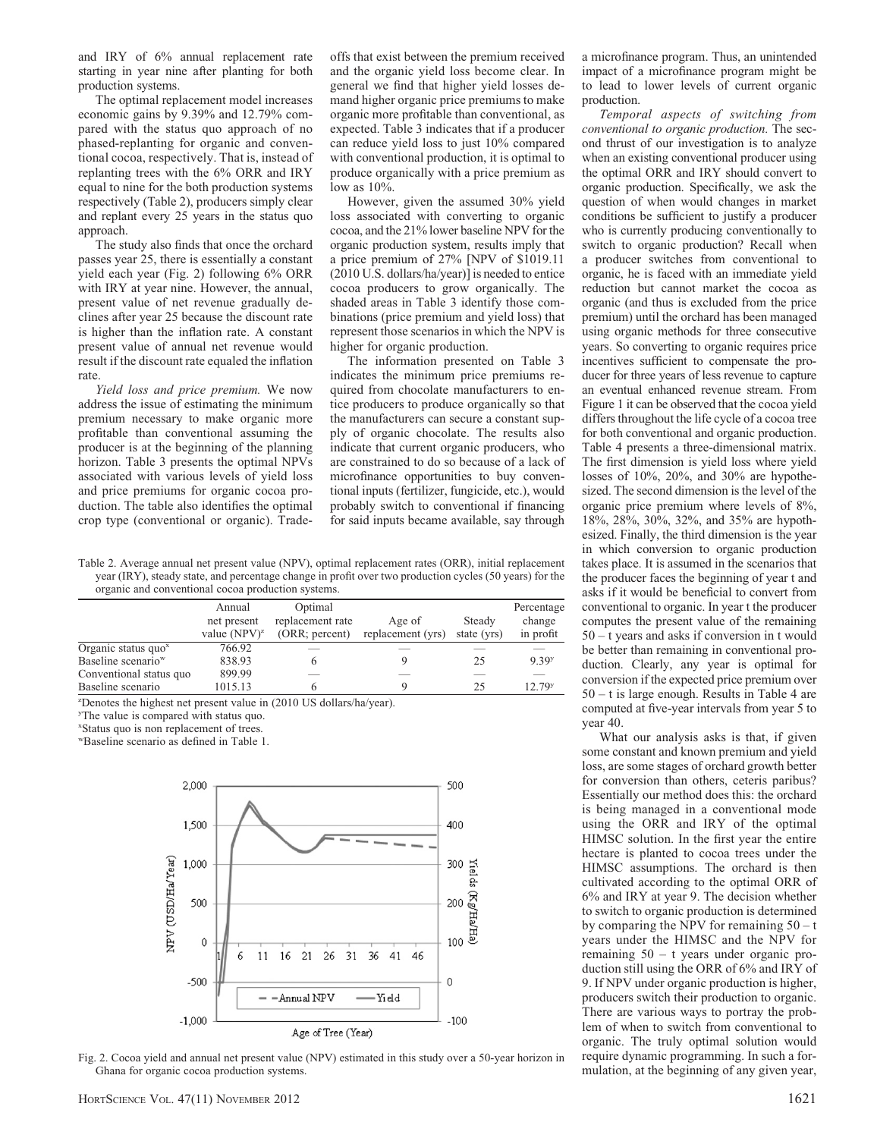and IRY of 6% annual replacement rate starting in year nine after planting for both production systems.

The optimal replacement model increases economic gains by 9.39% and 12.79% compared with the status quo approach of no phased-replanting for organic and conventional cocoa, respectively. That is, instead of replanting trees with the 6% ORR and IRY equal to nine for the both production systems respectively (Table 2), producers simply clear and replant every 25 years in the status quo approach.

The study also finds that once the orchard passes year 25, there is essentially a constant yield each year (Fig. 2) following 6% ORR with IRY at year nine. However, the annual, present value of net revenue gradually declines after year 25 because the discount rate is higher than the inflation rate. A constant present value of annual net revenue would result if the discount rate equaled the inflation rate.

Yield loss and price premium. We now address the issue of estimating the minimum premium necessary to make organic more profitable than conventional assuming the producer is at the beginning of the planning horizon. Table 3 presents the optimal NPVs associated with various levels of yield loss and price premiums for organic cocoa production. The table also identifies the optimal crop type (conventional or organic). Tradeoffs that exist between the premium received and the organic yield loss become clear. In general we find that higher yield losses demand higher organic price premiums to make organic more profitable than conventional, as expected. Table 3 indicates that if a producer can reduce yield loss to just 10% compared with conventional production, it is optimal to produce organically with a price premium as low as 10%.

However, given the assumed 30% yield loss associated with converting to organic cocoa, and the 21% lower baseline NPV for the organic production system, results imply that a price premium of 27% [NPV of \$1019.11 (2010 U.S. dollars/ha/year)] is needed to entice cocoa producers to grow organically. The shaded areas in Table 3 identify those combinations (price premium and yield loss) that represent those scenarios in which the NPV is higher for organic production.

The information presented on Table 3 indicates the minimum price premiums required from chocolate manufacturers to entice producers to produce organically so that the manufacturers can secure a constant supply of organic chocolate. The results also indicate that current organic producers, who are constrained to do so because of a lack of microfinance opportunities to buy conventional inputs (fertilizer, fungicide, etc.), would probably switch to conventional if financing for said inputs became available, say through

Table 2. Average annual net present value (NPV), optimal replacement rates (ORR), initial replacement year (IRY), steady state, and percentage change in profit over two production cycles (50 years) for the organic and conventional cocoa production systems.

|                                | Annual<br>net present | Optimal<br>replacement rate | Age of            | Steady      | Percentage<br>change |
|--------------------------------|-----------------------|-----------------------------|-------------------|-------------|----------------------|
|                                | value $(NPV)^{z}$     | (ORR; percent)              | replacement (yrs) | state (yrs) | in profit            |
| Organic status quo $x$         | 766.92                |                             |                   |             |                      |
| Baseline scenario <sup>w</sup> | 838.93                |                             |                   | 25          | 9.39 <sup>y</sup>    |
| Conventional status quo        | 899.99                |                             | __                |             |                      |
| Baseline scenario              | 1015.13               |                             |                   | 25          | 12.79 <sup>y</sup>   |

z Denotes the highest net present value in (2010 US dollars/ha/year).

y The value is compared with status quo.

x Status quo is non replacement of trees.

wBaseline scenario as defined in Table 1.



Fig. 2. Cocoa yield and annual net present value (NPV) estimated in this study over a 50-year horizon in Ghana for organic cocoa production systems.

a microfinance program. Thus, an unintended impact of a microfinance program might be to lead to lower levels of current organic production.

Temporal aspects of switching from conventional to organic production. The second thrust of our investigation is to analyze when an existing conventional producer using the optimal ORR and IRY should convert to organic production. Specifically, we ask the question of when would changes in market conditions be sufficient to justify a producer who is currently producing conventionally to switch to organic production? Recall when a producer switches from conventional to organic, he is faced with an immediate yield reduction but cannot market the cocoa as organic (and thus is excluded from the price premium) until the orchard has been managed using organic methods for three consecutive years. So converting to organic requires price incentives sufficient to compensate the producer for three years of less revenue to capture an eventual enhanced revenue stream. From Figure 1 it can be observed that the cocoa yield differs throughout the life cycle of a cocoa tree for both conventional and organic production. Table 4 presents a three-dimensional matrix. The first dimension is yield loss where yield losses of 10%, 20%, and 30% are hypothesized. The second dimension is the level of the organic price premium where levels of 8%, 18%, 28%, 30%, 32%, and 35% are hypothesized. Finally, the third dimension is the year in which conversion to organic production takes place. It is assumed in the scenarios that the producer faces the beginning of year t and asks if it would be beneficial to convert from conventional to organic. In year t the producer computes the present value of the remaining 50 – t years and asks if conversion in t would be better than remaining in conventional production. Clearly, any year is optimal for conversion if the expected price premium over 50 – t is large enough. Results in Table 4 are computed at five-year intervals from year 5 to year 40.

What our analysis asks is that, if given some constant and known premium and yield loss, are some stages of orchard growth better for conversion than others, ceteris paribus? Essentially our method does this: the orchard is being managed in a conventional mode using the ORR and IRY of the optimal HIMSC solution. In the first year the entire hectare is planted to cocoa trees under the HIMSC assumptions. The orchard is then cultivated according to the optimal ORR of 6% and IRY at year 9. The decision whether to switch to organic production is determined by comparing the NPV for remaining  $50 - t$ years under the HIMSC and the NPV for remaining 50 – t years under organic production still using the ORR of 6% and IRY of 9. If NPV under organic production is higher, producers switch their production to organic. There are various ways to portray the problem of when to switch from conventional to organic. The truly optimal solution would require dynamic programming. In such a formulation, at the beginning of any given year,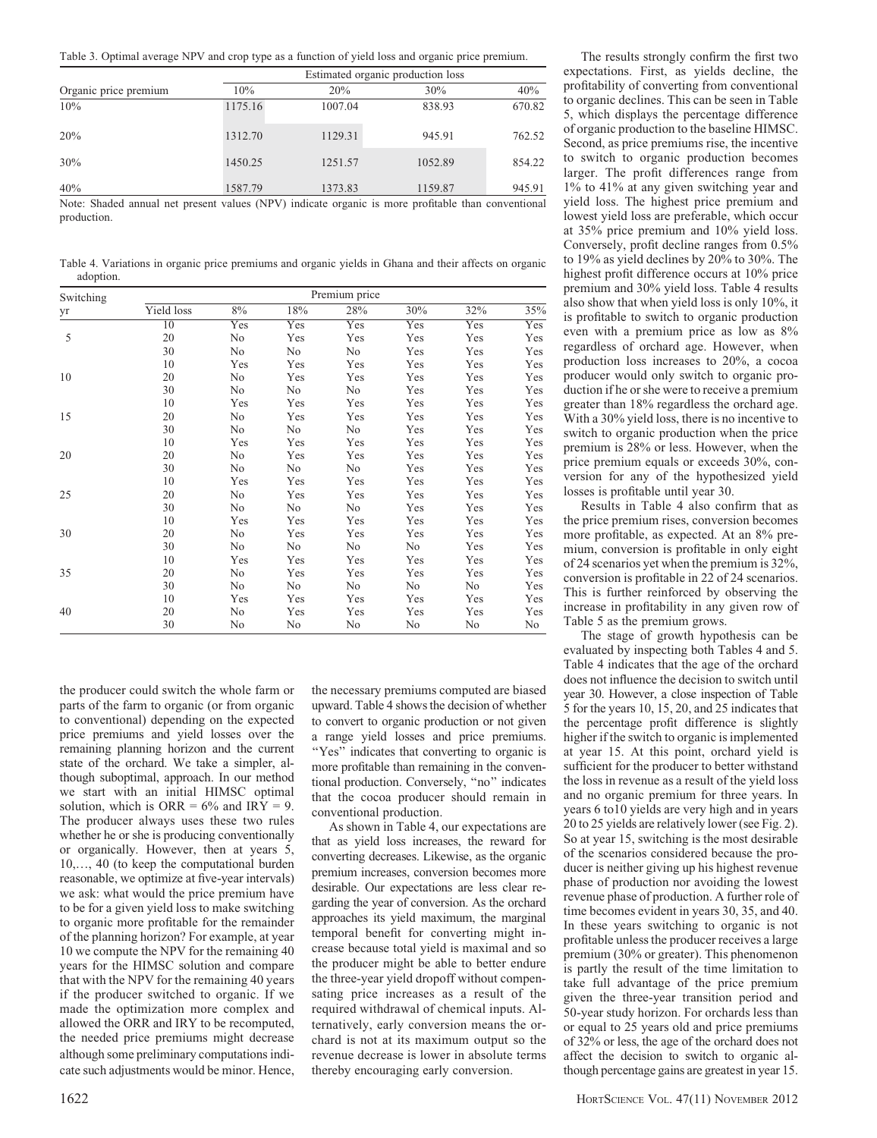Table 3. Optimal average NPV and crop type as a function of yield loss and organic price premium.

| Organic price premium |         | Estimated organic production loss |              |        |  |  |  |
|-----------------------|---------|-----------------------------------|--------------|--------|--|--|--|
|                       | 10%     | 20%                               | 30%          | 40%    |  |  |  |
| 10%                   | 1175.16 | 1007.04                           | 838.93       | 670.82 |  |  |  |
| 20%                   | 1312.70 | 1129.31                           | 945.91       | 762.52 |  |  |  |
| 30%                   | 1450.25 | 1251.57                           | 1052.89      | 854.22 |  |  |  |
| 40%<br>--<br>---      | 1587.79 | 1373.83                           | 1159.87<br>. | 945.91 |  |  |  |

Note: Shaded annual net present values (NPV) indicate organic is more profitable than conventional production.

Table 4. Variations in organic price premiums and organic yields in Ghana and their affects on organic adoption.

| Switching |            |     |     | Premium price |     |     |     |
|-----------|------------|-----|-----|---------------|-----|-----|-----|
| yr        | Yield loss | 8%  | 18% | 28%           | 30% | 32% | 35% |
|           | 10         | Yes | Yes | Yes           | Yes | Yes | Yes |
| 5         | 20         | No  | Yes | Yes           | Yes | Yes | Yes |
|           | 30         | No  | No  | No            | Yes | Yes | Yes |
|           | 10         | Yes | Yes | Yes           | Yes | Yes | Yes |
| 10        | 20         | No  | Yes | Yes           | Yes | Yes | Yes |
|           | 30         | No  | No  | No            | Yes | Yes | Yes |
|           | 10         | Yes | Yes | Yes           | Yes | Yes | Yes |
| 15        | 20         | No  | Yes | Yes           | Yes | Yes | Yes |
|           | 30         | No  | No  | No            | Yes | Yes | Yes |
|           | 10         | Yes | Yes | Yes           | Yes | Yes | Yes |
| 20        | 20         | No  | Yes | Yes           | Yes | Yes | Yes |
|           | 30         | No  | No  | No            | Yes | Yes | Yes |
|           | 10         | Yes | Yes | Yes           | Yes | Yes | Yes |
| 25        | 20         | No  | Yes | Yes           | Yes | Yes | Yes |
|           | 30         | No  | No  | No            | Yes | Yes | Yes |
|           | 10         | Yes | Yes | Yes           | Yes | Yes | Yes |
| 30        | 20         | No  | Yes | Yes           | Yes | Yes | Yes |
|           | 30         | No  | No  | No            | No  | Yes | Yes |
|           | 10         | Yes | Yes | Yes           | Yes | Yes | Yes |
| 35        | 20         | No  | Yes | Yes           | Yes | Yes | Yes |
|           | 30         | No  | No  | No            | No  | No  | Yes |
|           | 10         | Yes | Yes | Yes           | Yes | Yes | Yes |
| 40        | 20         | No  | Yes | Yes           | Yes | Yes | Yes |
|           | 30         | No  | No  | No            | No  | No  | No  |

the producer could switch the whole farm or parts of the farm to organic (or from organic to conventional) depending on the expected price premiums and yield losses over the remaining planning horizon and the current state of the orchard. We take a simpler, although suboptimal, approach. In our method we start with an initial HIMSC optimal solution, which is ORR =  $6\%$  and IRY = 9. The producer always uses these two rules whether he or she is producing conventionally or organically. However, then at years 5, 10,., 40 (to keep the computational burden reasonable, we optimize at five-year intervals) we ask: what would the price premium have to be for a given yield loss to make switching to organic more profitable for the remainder of the planning horizon? For example, at year 10 we compute the NPV for the remaining 40 years for the HIMSC solution and compare that with the NPV for the remaining 40 years if the producer switched to organic. If we made the optimization more complex and allowed the ORR and IRY to be recomputed, the needed price premiums might decrease although some preliminary computations indicate such adjustments would be minor. Hence, the necessary premiums computed are biased upward. Table 4 shows the decision of whether to convert to organic production or not given a range yield losses and price premiums. ''Yes'' indicates that converting to organic is more profitable than remaining in the conventional production. Conversely, ''no'' indicates that the cocoa producer should remain in conventional production.

As shown in Table 4, our expectations are that as yield loss increases, the reward for converting decreases. Likewise, as the organic premium increases, conversion becomes more desirable. Our expectations are less clear regarding the year of conversion. As the orchard approaches its yield maximum, the marginal temporal benefit for converting might increase because total yield is maximal and so the producer might be able to better endure the three-year yield dropoff without compensating price increases as a result of the required withdrawal of chemical inputs. Alternatively, early conversion means the orchard is not at its maximum output so the revenue decrease is lower in absolute terms thereby encouraging early conversion.

The results strongly confirm the first two expectations. First, as yields decline, the profitability of converting from conventional to organic declines. This can be seen in Table 5, which displays the percentage difference of organic production to the baseline HIMSC. Second, as price premiums rise, the incentive to switch to organic production becomes larger. The profit differences range from 1% to 41% at any given switching year and yield loss. The highest price premium and lowest yield loss are preferable, which occur at 35% price premium and 10% yield loss. Conversely, profit decline ranges from 0.5% to 19% as yield declines by 20% to 30%. The highest profit difference occurs at 10% price premium and 30% yield loss. Table 4 results also show that when yield loss is only 10%, it is profitable to switch to organic production even with a premium price as low as 8% regardless of orchard age. However, when production loss increases to 20%, a cocoa producer would only switch to organic production if he or she were to receive a premium greater than 18% regardless the orchard age. With a 30% yield loss, there is no incentive to switch to organic production when the price premium is 28% or less. However, when the price premium equals or exceeds 30%, conversion for any of the hypothesized yield losses is profitable until year 30.

Results in Table 4 also confirm that as the price premium rises, conversion becomes more profitable, as expected. At an 8% premium, conversion is profitable in only eight of 24 scenarios yet when the premium is 32%, conversion is profitable in 22 of 24 scenarios. This is further reinforced by observing the increase in profitability in any given row of Table 5 as the premium grows.

The stage of growth hypothesis can be evaluated by inspecting both Tables 4 and 5. Table 4 indicates that the age of the orchard does not influence the decision to switch until year 30. However, a close inspection of Table 5 for the years 10, 15, 20, and 25 indicates that the percentage profit difference is slightly higher if the switch to organic is implemented at year 15. At this point, orchard yield is sufficient for the producer to better withstand the loss in revenue as a result of the yield loss and no organic premium for three years. In years 6 to10 yields are very high and in years 20 to 25 yields are relatively lower (see Fig. 2). So at year 15, switching is the most desirable of the scenarios considered because the producer is neither giving up his highest revenue phase of production nor avoiding the lowest revenue phase of production. A further role of time becomes evident in years 30, 35, and 40. In these years switching to organic is not profitable unless the producer receives a large premium (30% or greater). This phenomenon is partly the result of the time limitation to take full advantage of the price premium given the three-year transition period and 50-year study horizon. For orchards less than or equal to 25 years old and price premiums of 32% or less, the age of the orchard does not affect the decision to switch to organic although percentage gains are greatest in year 15.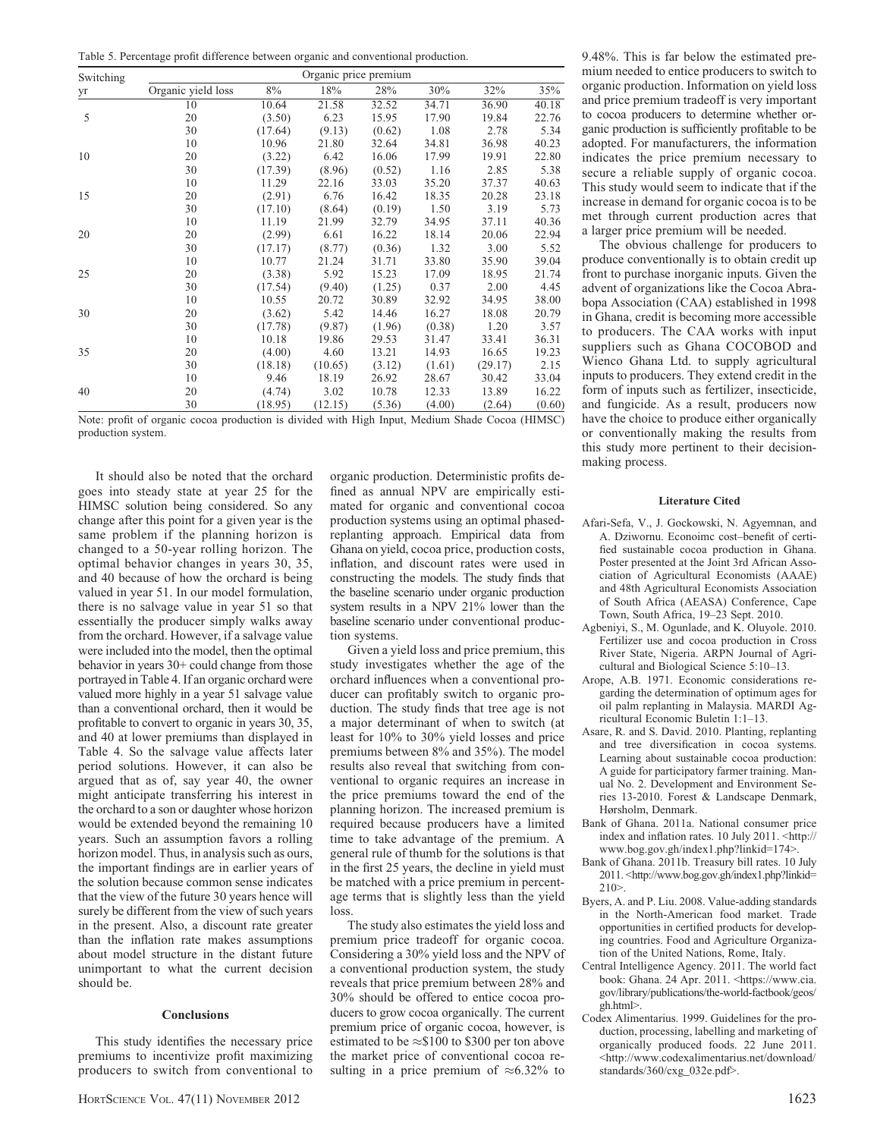Table 5. Percentage profit difference between organic and conventional production.

| Switching | Organic price premium |         |         |        |        |         |        |  |
|-----------|-----------------------|---------|---------|--------|--------|---------|--------|--|
| yr        | Organic yield loss    | 8%      | 18%     | 28%    | 30%    | 32%     | 35%    |  |
|           | 10                    | 10.64   | 21.58   | 32.52  | 34.71  | 36.90   | 40.18  |  |
| 5         | 20                    | (3.50)  | 6.23    | 15.95  | 17.90  | 19.84   | 22.76  |  |
|           | 30                    | (17.64) | (9.13)  | (0.62) | 1.08   | 2.78    | 5.34   |  |
|           | 10                    | 10.96   | 21.80   | 32.64  | 34.81  | 36.98   | 40.23  |  |
| 10        | 20                    | (3.22)  | 6.42    | 16.06  | 17.99  | 19.91   | 22.80  |  |
|           | 30                    | (17.39) | (8.96)  | (0.52) | 1.16   | 2.85    | 5.38   |  |
|           | 10                    | 11.29   | 22.16   | 33.03  | 35.20  | 37.37   | 40.63  |  |
| 15        | 20                    | (2.91)  | 6.76    | 16.42  | 18.35  | 20.28   | 23.18  |  |
|           | 30                    | (17.10) | (8.64)  | (0.19) | 1.50   | 3.19    | 5.73   |  |
|           | 10                    | 11.19   | 21.99   | 32.79  | 34.95  | 37.11   | 40.36  |  |
| 20        | 20                    | (2.99)  | 6.61    | 16.22  | 18.14  | 20.06   | 22.94  |  |
|           | 30                    | (17.17) | (8.77)  | (0.36) | 1.32   | 3.00    | 5.52   |  |
|           | 10                    | 10.77   | 21.24   | 31.71  | 33.80  | 35.90   | 39.04  |  |
| 25        | 20                    | (3.38)  | 5.92    | 15.23  | 17.09  | 18.95   | 21.74  |  |
|           | 30                    | (17.54) | (9.40)  | (1.25) | 0.37   | 2.00    | 4.45   |  |
|           | 10                    | 10.55   | 20.72   | 30.89  | 32.92  | 34.95   | 38.00  |  |
| 30        | 20                    | (3.62)  | 5.42    | 14.46  | 16.27  | 18.08   | 20.79  |  |
|           | 30                    | (17.78) | (9.87)  | (1.96) | (0.38) | 1.20    | 3.57   |  |
|           | 10                    | 10.18   | 19.86   | 29.53  | 31.47  | 33.41   | 36.31  |  |
| 35        | 20                    | (4.00)  | 4.60    | 13.21  | 14.93  | 16.65   | 19.23  |  |
|           | 30                    | (18.18) | (10.65) | (3.12) | (1.61) | (29.17) | 2.15   |  |
|           | 10                    | 9.46    | 18.19   | 26.92  | 28.67  | 30.42   | 33.04  |  |
| 40        | 20                    | (4.74)  | 3.02    | 10.78  | 12.33  | 13.89   | 16.22  |  |
|           | 30                    | (18.95) | (12.15) | (5.36) | (4.00) | (2.64)  | (0.60) |  |

Note: profit of organic cocoa production is divided with High Input, Medium Shade Cocoa (HIMSC) production system.

It should also be noted that the orchard goes into steady state at year 25 for the HIMSC solution being considered. So any change after this point for a given year is the same problem if the planning horizon is changed to a 50-year rolling horizon. The optimal behavior changes in years 30, 35, and 40 because of how the orchard is being valued in year 51. In our model formulation, there is no salvage value in year 51 so that essentially the producer simply walks away from the orchard. However, if a salvage value were included into the model, then the optimal behavior in years 30+ could change from those portrayed in Table 4. If an organic orchard were valued more highly in a year 51 salvage value than a conventional orchard, then it would be profitable to convert to organic in years 30, 35, and 40 at lower premiums than displayed in Table 4. So the salvage value affects later period solutions. However, it can also be argued that as of, say year 40, the owner might anticipate transferring his interest in the orchard to a son or daughter whose horizon would be extended beyond the remaining 10 years. Such an assumption favors a rolling horizon model. Thus, in analysis such as ours, the important findings are in earlier years of the solution because common sense indicates that the view of the future 30 years hence will surely be different from the view of such years in the present. Also, a discount rate greater than the inflation rate makes assumptions about model structure in the distant future unimportant to what the current decision should be.

## **Conclusions**

This study identifies the necessary price premiums to incentivize profit maximizing producers to switch from conventional to

organic production. Deterministic profits defined as annual NPV are empirically estimated for organic and conventional cocoa production systems using an optimal phasedreplanting approach. Empirical data from Ghana on yield, cocoa price, production costs, inflation, and discount rates were used in constructing the models. The study finds that the baseline scenario under organic production system results in a NPV 21% lower than the baseline scenario under conventional production systems.

Given a yield loss and price premium, this study investigates whether the age of the orchard influences when a conventional producer can profitably switch to organic production. The study finds that tree age is not a major determinant of when to switch (at least for 10% to 30% yield losses and price premiums between 8% and 35%). The model results also reveal that switching from conventional to organic requires an increase in the price premiums toward the end of the planning horizon. The increased premium is required because producers have a limited time to take advantage of the premium. A general rule of thumb for the solutions is that in the first 25 years, the decline in yield must be matched with a price premium in percentage terms that is slightly less than the yield loss.

The study also estimates the yield loss and premium price tradeoff for organic cocoa. Considering a 30% yield loss and the NPV of a conventional production system, the study reveals that price premium between 28% and 30% should be offered to entice cocoa producers to grow cocoa organically. The current premium price of organic cocoa, however, is estimated to be  $\approx$ \$100 to \$300 per ton above the market price of conventional cocoa resulting in a price premium of  $\approx 6.32\%$  to

9.48%. This is far below the estimated premium needed to entice producers to switch to organic production. Information on yield loss and price premium tradeoff is very important to cocoa producers to determine whether organic production is sufficiently profitable to be adopted. For manufacturers, the information indicates the price premium necessary to secure a reliable supply of organic cocoa. This study would seem to indicate that if the increase in demand for organic cocoa is to be met through current production acres that a larger price premium will be needed.

The obvious challenge for producers to produce conventionally is to obtain credit up front to purchase inorganic inputs. Given the advent of organizations like the Cocoa Abrabopa Association (CAA) established in 1998 in Ghana, credit is becoming more accessible to producers. The CAA works with input suppliers such as Ghana COCOBOD and Wienco Ghana Ltd. to supply agricultural inputs to producers. They extend credit in the form of inputs such as fertilizer, insecticide, and fungicide. As a result, producers now have the choice to produce either organically or conventionally making the results from this study more pertinent to their decisionmaking process.

#### Literature Cited

- Afari-Sefa, V., J. Gockowski, N. Agyemnan, and A. Dziwornu. Econoimc cost–benefit of certified sustainable cocoa production in Ghana. Poster presented at the Joint 3rd African Association of Agricultural Economists (AAAE) and 48th Agricultural Economists Association of South Africa (AEASA) Conference, Cape Town, South Africa, 19–23 Sept. 2010.
- Agbeniyi, S., M. Ogunlade, and K. Oluyole. 2010. Fertilizer use and cocoa production in Cross River State, Nigeria. ARPN Journal of Agricultural and Biological Science 5:10–13.
- Arope, A.B. 1971. Economic considerations regarding the determination of optimum ages for oil palm replanting in Malaysia. MARDI Agricultural Economic Buletin 1:1–13.
- Asare, R. and S. David. 2010. Planting, replanting and tree diversification in cocoa systems. Learning about sustainable cocoa production: A guide for participatory farmer training. Manual No. 2. Development and Environment Series 13-2010. Forest & Landscape Denmark, Hørsholm, Denmark.
- Bank of Ghana. 2011a. National consumer price index and inflation rates. 10 July 2011. <http:// www.bog.gov.gh/index1.php?linkid=174>.
- Bank of Ghana. 2011b. Treasury bill rates. 10 July 2011. <http://www.bog.gov.gh/index1.php?linkid=  $210>$
- Byers, A. and P. Liu. 2008. Value-adding standards in the North-American food market. Trade opportunities in certified products for developing countries. Food and Agriculture Organization of the United Nations, Rome, Italy.
- Central Intelligence Agency. 2011. The world fact book: Ghana. 24 Apr. 2011. <https://www.cia. gov/library/publications/the-world-factbook/geos/ gh.html>.
- Codex Alimentarius. 1999. Guidelines for the production, processing, labelling and marketing of organically produced foods. 22 June 2011. <http://www.codexalimentarius.net/download/ standards/360/cxg\_032e.pdf>.